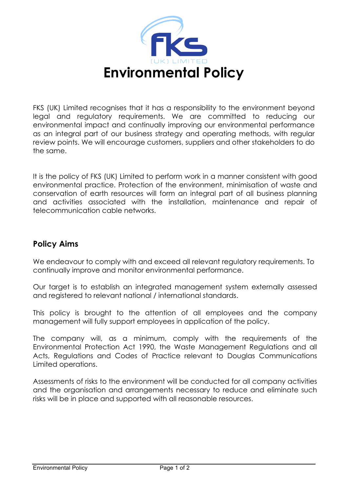

FKS (UK) Limited recognises that it has a responsibility to the environment beyond legal and regulatory requirements. We are committed to reducing our environmental impact and continually improving our environmental performance as an integral part of our business strategy and operating methods, with regular review points. We will encourage customers, suppliers and other stakeholders to do the same.

It is the policy of FKS (UK) Limited to perform work in a manner consistent with good environmental practice. Protection of the environment, minimisation of waste and conservation of earth resources will form an integral part of all business planning and activities associated with the installation, maintenance and repair of telecommunication cable networks.

## **Policy Aims**

We endeavour to comply with and exceed all relevant regulatory requirements. To continually improve and monitor environmental performance.

Our target is to establish an integrated management system externally assessed and registered to relevant national / international standards.

This policy is brought to the attention of all employees and the company management will fully support employees in application of the policy.

The company will, as a minimum, comply with the requirements of the Environmental Protection Act 1990, the Waste Management Regulations and all Acts, Regulations and Codes of Practice relevant to Douglas Communications Limited operations.

Assessments of risks to the environment will be conducted for all company activities and the organisation and arrangements necessary to reduce and eliminate such risks will be in place and supported with all reasonable resources.